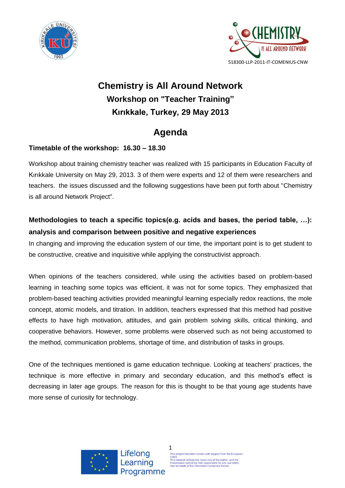



# **Chemistry is All Around Network Workshop on "Teacher Training" Kırıkkale, Turkey, 29 May 2013**

# **Agenda**

### **Timetable of the workshop: 16.30 – 18.30**

Workshop about training chemistry teacher was realized with 15 participants in Education Faculty of Kırıkkale University on May 29, 2013. 3 of them were experts and 12 of them were researchers and teachers. the issues discussed and the following suggestions have been put forth about "Chemistry is all around Network Project".

## **Methodologies to teach a specific topics(e.g. acids and bases, the period table, …): analysis and comparison between positive and negative experiences**

In changing and improving the education system of our time, the important point is to get student to be constructive, creative and inquisitive while applying the constructivist approach.

When opinions of the teachers considered, while using the activities based on problem-based learning in teaching some topics was efficient, it was not for some topics. They emphasized that problem-based teaching activities provided meaningful learning especially redox reactions, the mole concept, atomic models, and titration. In addition, teachers expressed that this method had positive effects to have high motivation, attitudes, and gain problem solving skills, critical thinking, and cooperative behaviors. However, some problems were observed such as not being accustomed to the method, communication problems, shortage of time, and distribution of tasks in groups.

One of the techniques mentioned is game education technique. Looking at teachers' practices, the technique is more effective in primary and secondary education, and this method's effect is decreasing in later age groups. The reason for this is thought to be that young age students have more sense of curiosity for technology.





1 This project has been funded with support from the European Union.<br>This material reflects the views only of the author, and the<br>Commission cannot be held responsible for any use whic<br>may be made of the information contained therein.